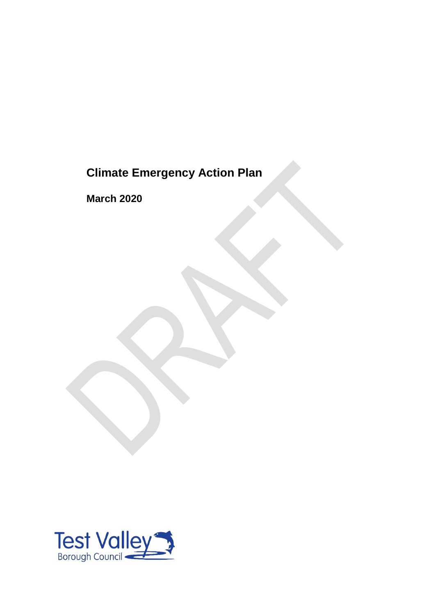# **Climate Emergency Action Plan**

**March 2020**

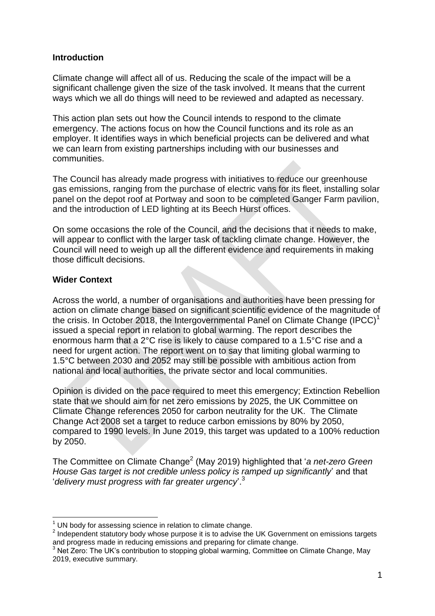#### **Introduction**

Climate change will affect all of us. Reducing the scale of the impact will be a significant challenge given the size of the task involved. It means that the current ways which we all do things will need to be reviewed and adapted as necessary.

This action plan sets out how the Council intends to respond to the climate emergency. The actions focus on how the Council functions and its role as an employer. It identifies ways in which beneficial projects can be delivered and what we can learn from existing partnerships including with our businesses and communities.

The Council has already made progress with initiatives to reduce our greenhouse gas emissions, ranging from the purchase of electric vans for its fleet, installing solar panel on the depot roof at Portway and soon to be completed Ganger Farm pavilion, and the introduction of LED lighting at its Beech Hurst offices.

On some occasions the role of the Council, and the decisions that it needs to make, will appear to conflict with the larger task of tackling climate change. However, the Council will need to weigh up all the different evidence and requirements in making those difficult decisions.

### **Wider Context**

**.** 

Across the world, a number of organisations and authorities have been pressing for action on climate change based on significant scientific evidence of the magnitude of the crisis. In October 2018, the Intergovernmental Panel on Climate Change (IPCC)<sup>1</sup> issued a special report in relation to global warming. The report describes the enormous harm that a 2°C rise is likely to cause compared to a 1.5°C rise and a need for urgent action. The report went on to say that limiting global warming to 1.5°C between 2030 and 2052 may still be possible with ambitious action from national and local authorities, the private sector and local communities.

Opinion is divided on the pace required to meet this emergency; Extinction Rebellion state that we should aim for net zero emissions by 2025, the UK Committee on Climate Change references 2050 for carbon neutrality for the UK. The Climate Change Act 2008 set a target to reduce carbon emissions by 80% by 2050, compared to 1990 levels. In June 2019, this target was updated to a 100% reduction by 2050.

The Committee on Climate Change<sup>2</sup> (May 2019) highlighted that '*a net-zero Green House Gas target is not credible unless policy is ramped up significantly*' and that '*delivery must progress with far greater urgency*'.<sup>3</sup>

UN body for assessing science in relation to climate change.

 $2$  Independent statutory body whose purpose it is to advise the UK Government on emissions targets and progress made in reducing emissions and preparing for climate change.

<sup>3</sup> Net Zero: The UK's contribution to stopping global warming, Committee on Climate Change, May 2019, executive summary.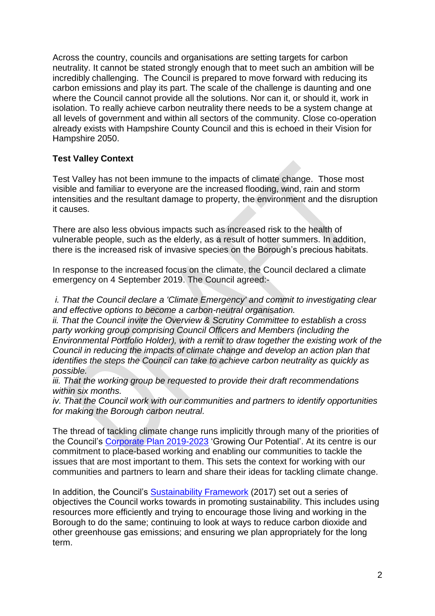Across the country, councils and organisations are setting targets for carbon neutrality. It cannot be stated strongly enough that to meet such an ambition will be incredibly challenging. The Council is prepared to move forward with reducing its carbon emissions and play its part. The scale of the challenge is daunting and one where the Council cannot provide all the solutions. Nor can it, or should it, work in isolation. To really achieve carbon neutrality there needs to be a system change at all levels of government and within all sectors of the community. Close co-operation already exists with Hampshire County Council and this is echoed in their Vision for Hampshire 2050.

## **Test Valley Context**

Test Valley has not been immune to the impacts of climate change. Those most visible and familiar to everyone are the increased flooding, wind, rain and storm intensities and the resultant damage to property, the environment and the disruption it causes.

There are also less obvious impacts such as increased risk to the health of vulnerable people, such as the elderly, as a result of hotter summers. In addition, there is the increased risk of invasive species on the Borough's precious habitats.

In response to the increased focus on the climate, the Council declared a climate emergency on 4 September 2019. The Council agreed:-

*i. That the Council declare a 'Climate Emergency' and commit to investigating clear and effective options to become a carbon-neutral organisation.*

*ii. That the Council invite the Overview & Scrutiny Committee to establish a cross party working group comprising Council Officers and Members (including the Environmental Portfolio Holder), with a remit to draw together the existing work of the Council in reducing the impacts of climate change and develop an action plan that identifies the steps the Council can take to achieve carbon neutrality as quickly as possible.*

*iii. That the working group be requested to provide their draft recommendations within six months.*

*iv. That the Council work with our communities and partners to identify opportunities for making the Borough carbon neutral.*

The thread of tackling climate change runs implicitly through many of the priorities of the Council's [Corporate Plan 2019-2023](https://testvalley.gov.uk/aboutyourcouncil/corporatedirection/corporate-plan-for-2019-to-2023) 'Growing Our Potential'. At its centre is our commitment to place-based working and enabling our communities to tackle the issues that are most important to them. This sets the context for working with our communities and partners to learn and share their ideas for tackling climate change.

In addition, the Council's [Sustainability Framework](https://testvalley.gov.uk/assets/attach/5598/Sustainability%20Framework%20(2017).pdf) (2017) set out a series of objectives the Council works towards in promoting sustainability. This includes using resources more efficiently and trying to encourage those living and working in the Borough to do the same; continuing to look at ways to reduce carbon dioxide and other greenhouse gas emissions; and ensuring we plan appropriately for the long term.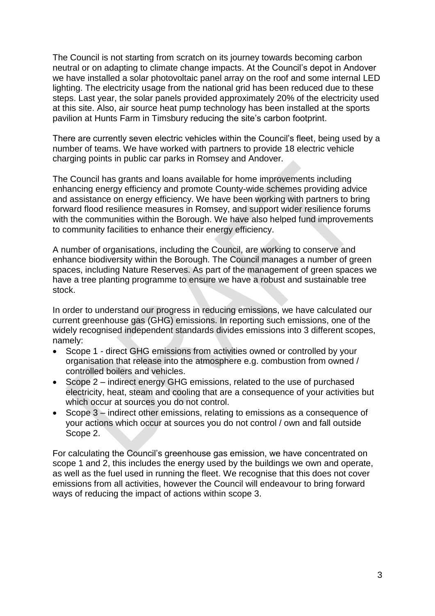The Council is not starting from scratch on its journey towards becoming carbon neutral or on adapting to climate change impacts. At the Council's depot in Andover we have installed a solar photovoltaic panel array on the roof and some internal LED lighting. The electricity usage from the national grid has been reduced due to these steps. Last year, the solar panels provided approximately 20% of the electricity used at this site. Also, air source heat pump technology has been installed at the sports pavilion at Hunts Farm in Timsbury reducing the site's carbon footprint.

There are currently seven electric vehicles within the Council's fleet, being used by a number of teams. We have worked with partners to provide 18 electric vehicle charging points in public car parks in Romsey and Andover.

The Council has grants and loans available for home improvements including enhancing energy efficiency and promote County-wide schemes providing advice and assistance on energy efficiency. We have been working with partners to bring forward flood resilience measures in Romsey, and support wider resilience forums with the communities within the Borough. We have also helped fund improvements to community facilities to enhance their energy efficiency.

A number of organisations, including the Council, are working to conserve and enhance biodiversity within the Borough. The Council manages a number of green spaces, including Nature Reserves. As part of the management of green spaces we have a tree planting programme to ensure we have a robust and sustainable tree stock.

In order to understand our progress in reducing emissions, we have calculated our current greenhouse gas (GHG) emissions. In reporting such emissions, one of the widely recognised independent standards divides emissions into 3 different scopes, namely:

- Scope 1 direct GHG emissions from activities owned or controlled by your organisation that release into the atmosphere e.g. combustion from owned / controlled boilers and vehicles.
- Scope 2 indirect energy GHG emissions, related to the use of purchased electricity, heat, steam and cooling that are a consequence of your activities but which occur at sources you do not control.
- Scope 3 indirect other emissions, relating to emissions as a consequence of your actions which occur at sources you do not control / own and fall outside Scope 2.

For calculating the Council's greenhouse gas emission, we have concentrated on scope 1 and 2, this includes the energy used by the buildings we own and operate, as well as the fuel used in running the fleet. We recognise that this does not cover emissions from all activities, however the Council will endeavour to bring forward ways of reducing the impact of actions within scope 3.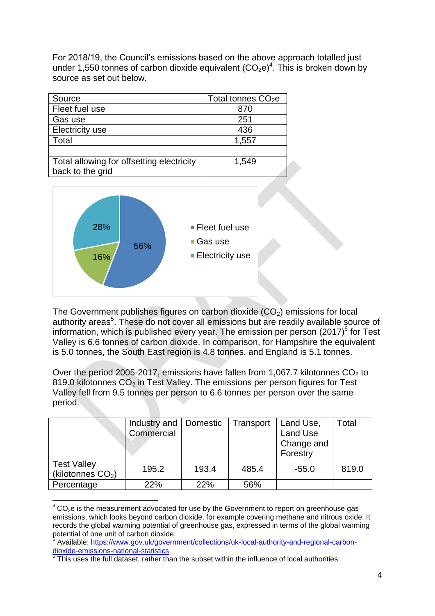For 2018/19, the Council's emissions based on the above approach totalled just under 1,550 tonnes of carbon dioxide equivalent  $(CO_2e)^4$ . This is broken down by source as set out below.

| Source                                    | Total tonnes $CO2e$ |
|-------------------------------------------|---------------------|
| Fleet fuel use                            | 870                 |
| Gas use                                   | 251                 |
| <b>Electricity use</b>                    | 436                 |
| Total                                     | 1,557               |
|                                           |                     |
| Total allowing for offsetting electricity | 1,549               |
| back to the grid                          |                     |



**.** 

The Government publishes figures on carbon dioxide  $(CO<sub>2</sub>)$  emissions for local authority areas<sup>5</sup>. These do not cover all emissions but are readily available source of information, which is published every year. The emission per person  $(2017)^6$  for Test Valley is 6.6 tonnes of carbon dioxide. In comparison, for Hampshire the equivalent is 5.0 tonnes, the South East region is 4.8 tonnes, and England is 5.1 tonnes.

Over the period 2005-2017, emissions have fallen from 1,067.7 kilotonnes  $CO<sub>2</sub>$  to 819.0 kilotonnes  $CO<sub>2</sub>$  in Test Valley. The emissions per person figures for Test Valley fell from 9.5 tonnes per person to 6.6 tonnes per person over the same period.

|                                           | Industry and  <br>Commercial | Domestic | Transport | Land Use,<br><b>Land Use</b><br>Change and<br>Forestry | Total |
|-------------------------------------------|------------------------------|----------|-----------|--------------------------------------------------------|-------|
| <b>Test Valley</b><br>(kilotonnes $CO2$ ) | 195.2                        | 193.4    | 485.4     | $-55.0$                                                | 819.0 |
| Percentage                                | 22%                          | 22%      | 56%       |                                                        |       |

 $4$  CO<sub>2</sub>e is the measurement advocated for use by the Government to report on greenhouse gas emissions, which looks beyond carbon dioxide, for example covering methane and nitrous oxide. It records the global warming potential of greenhouse gas, expressed in terms of the global warming potential of one unit of carbon dioxide.<br>
<sup>5</sup> Available: https://www.gov.uk/govern

Available: [https://www.gov.uk/government/collections/uk-local-authority-and-regional-carbon](https://www.gov.uk/government/collections/uk-local-authority-and-regional-carbon-dioxide-emissions-national-statistics)[dioxide-emissions-national-statistics](https://www.gov.uk/government/collections/uk-local-authority-and-regional-carbon-dioxide-emissions-national-statistics)<br><sup>6</sup> Thie uses the full deteast, rather th

This uses the full dataset, rather than the subset within the influence of local authorities.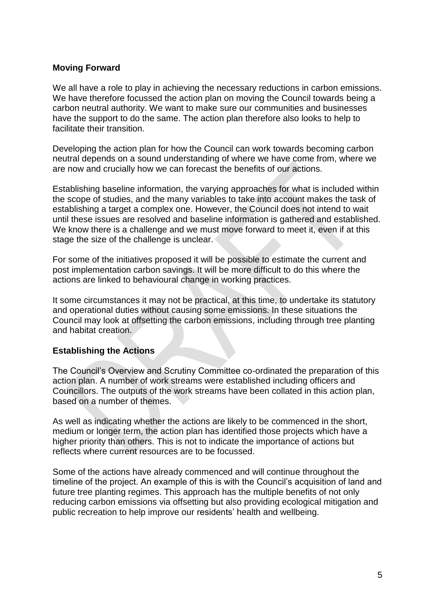#### **Moving Forward**

We all have a role to play in achieving the necessary reductions in carbon emissions. We have therefore focussed the action plan on moving the Council towards being a carbon neutral authority. We want to make sure our communities and businesses have the support to do the same. The action plan therefore also looks to help to facilitate their transition.

Developing the action plan for how the Council can work towards becoming carbon neutral depends on a sound understanding of where we have come from, where we are now and crucially how we can forecast the benefits of our actions.

Establishing baseline information, the varying approaches for what is included within the scope of studies, and the many variables to take into account makes the task of establishing a target a complex one. However, the Council does not intend to wait until these issues are resolved and baseline information is gathered and established. We know there is a challenge and we must move forward to meet it, even if at this stage the size of the challenge is unclear.

For some of the initiatives proposed it will be possible to estimate the current and post implementation carbon savings. It will be more difficult to do this where the actions are linked to behavioural change in working practices.

It some circumstances it may not be practical, at this time, to undertake its statutory and operational duties without causing some emissions. In these situations the Council may look at offsetting the carbon emissions, including through tree planting and habitat creation.

#### **Establishing the Actions**

The Council's Overview and Scrutiny Committee co-ordinated the preparation of this action plan. A number of work streams were established including officers and Councillors. The outputs of the work streams have been collated in this action plan, based on a number of themes.

As well as indicating whether the actions are likely to be commenced in the short, medium or longer term, the action plan has identified those projects which have a higher priority than others. This is not to indicate the importance of actions but reflects where current resources are to be focussed.

Some of the actions have already commenced and will continue throughout the timeline of the project. An example of this is with the Council's acquisition of land and future tree planting regimes. This approach has the multiple benefits of not only reducing carbon emissions via offsetting but also providing ecological mitigation and public recreation to help improve our residents' health and wellbeing.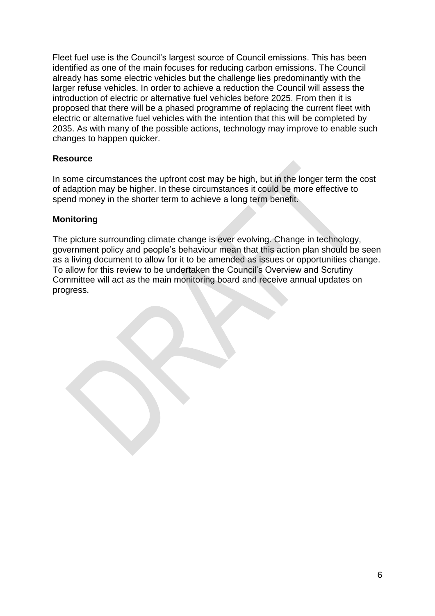Fleet fuel use is the Council's largest source of Council emissions. This has been identified as one of the main focuses for reducing carbon emissions. The Council already has some electric vehicles but the challenge lies predominantly with the larger refuse vehicles. In order to achieve a reduction the Council will assess the introduction of electric or alternative fuel vehicles before 2025. From then it is proposed that there will be a phased programme of replacing the current fleet with electric or alternative fuel vehicles with the intention that this will be completed by 2035. As with many of the possible actions, technology may improve to enable such changes to happen quicker.

## **Resource**

In some circumstances the upfront cost may be high, but in the longer term the cost of adaption may be higher. In these circumstances it could be more effective to spend money in the shorter term to achieve a long term benefit.

#### **Monitoring**

The picture surrounding climate change is ever evolving. Change in technology, government policy and people's behaviour mean that this action plan should be seen as a living document to allow for it to be amended as issues or opportunities change. To allow for this review to be undertaken the Council's Overview and Scrutiny Committee will act as the main monitoring board and receive annual updates on progress.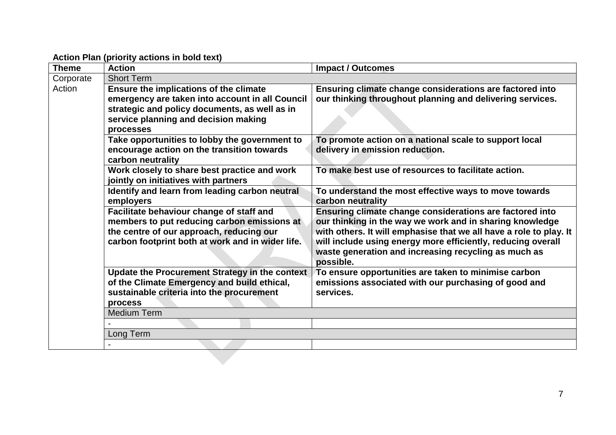**Action Plan (priority actions in bold text)**

| <b>Theme</b>        | <b>Action</b>                                                                                                                                                                                   | <b>Impact / Outcomes</b>                                                                                                                                                                                                                                                                                                        |
|---------------------|-------------------------------------------------------------------------------------------------------------------------------------------------------------------------------------------------|---------------------------------------------------------------------------------------------------------------------------------------------------------------------------------------------------------------------------------------------------------------------------------------------------------------------------------|
| Corporate<br>Action | <b>Short Term</b>                                                                                                                                                                               |                                                                                                                                                                                                                                                                                                                                 |
|                     | Ensure the implications of the climate<br>emergency are taken into account in all Council<br>strategic and policy documents, as well as in<br>service planning and decision making<br>processes | Ensuring climate change considerations are factored into<br>our thinking throughout planning and delivering services.                                                                                                                                                                                                           |
|                     | Take opportunities to lobby the government to<br>encourage action on the transition towards<br>carbon neutrality                                                                                | To promote action on a national scale to support local<br>delivery in emission reduction.                                                                                                                                                                                                                                       |
|                     | Work closely to share best practice and work<br>jointly on initiatives with partners                                                                                                            | To make best use of resources to facilitate action.                                                                                                                                                                                                                                                                             |
|                     | Identify and learn from leading carbon neutral<br>employers                                                                                                                                     | To understand the most effective ways to move towards<br>carbon neutrality                                                                                                                                                                                                                                                      |
|                     | Facilitate behaviour change of staff and<br>members to put reducing carbon emissions at<br>the centre of our approach, reducing our<br>carbon footprint both at work and in wider life.         | Ensuring climate change considerations are factored into<br>our thinking in the way we work and in sharing knowledge<br>with others. It will emphasise that we all have a role to play. It<br>will include using energy more efficiently, reducing overall<br>waste generation and increasing recycling as much as<br>possible. |
|                     | <b>Update the Procurement Strategy in the context</b><br>of the Climate Emergency and build ethical,<br>sustainable criteria into the procurement<br>process                                    | To ensure opportunities are taken to minimise carbon<br>emissions associated with our purchasing of good and<br>services.                                                                                                                                                                                                       |
|                     | <b>Medium Term</b>                                                                                                                                                                              |                                                                                                                                                                                                                                                                                                                                 |
|                     |                                                                                                                                                                                                 |                                                                                                                                                                                                                                                                                                                                 |
|                     | Long Term                                                                                                                                                                                       |                                                                                                                                                                                                                                                                                                                                 |
|                     |                                                                                                                                                                                                 |                                                                                                                                                                                                                                                                                                                                 |
|                     |                                                                                                                                                                                                 |                                                                                                                                                                                                                                                                                                                                 |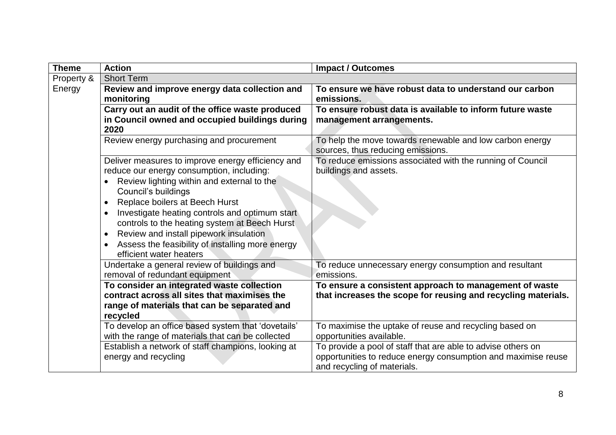| <b>Theme</b> | <b>Action</b>                                                                                                                                                                                                                                                                                                                                                                                                                                                            | <b>Impact / Outcomes</b>                                                                                                                                     |
|--------------|--------------------------------------------------------------------------------------------------------------------------------------------------------------------------------------------------------------------------------------------------------------------------------------------------------------------------------------------------------------------------------------------------------------------------------------------------------------------------|--------------------------------------------------------------------------------------------------------------------------------------------------------------|
| Property &   | <b>Short Term</b>                                                                                                                                                                                                                                                                                                                                                                                                                                                        |                                                                                                                                                              |
| Energy       | Review and improve energy data collection and<br>monitoring                                                                                                                                                                                                                                                                                                                                                                                                              | To ensure we have robust data to understand our carbon<br>emissions.                                                                                         |
|              | Carry out an audit of the office waste produced<br>in Council owned and occupied buildings during<br>2020                                                                                                                                                                                                                                                                                                                                                                | To ensure robust data is available to inform future waste<br>management arrangements.                                                                        |
|              | Review energy purchasing and procurement                                                                                                                                                                                                                                                                                                                                                                                                                                 | To help the move towards renewable and low carbon energy<br>sources, thus reducing emissions.                                                                |
|              | Deliver measures to improve energy efficiency and<br>reduce our energy consumption, including:<br>Review lighting within and external to the<br>Council's buildings<br>Replace boilers at Beech Hurst<br>$\bullet$<br>Investigate heating controls and optimum start<br>$\bullet$<br>controls to the heating system at Beech Hurst<br>Review and install pipework insulation<br>$\bullet$<br>Assess the feasibility of installing more energy<br>efficient water heaters | To reduce emissions associated with the running of Council<br>buildings and assets.                                                                          |
|              | Undertake a general review of buildings and<br>removal of redundant equipment                                                                                                                                                                                                                                                                                                                                                                                            | To reduce unnecessary energy consumption and resultant<br>emissions.                                                                                         |
|              | To consider an integrated waste collection<br>contract across all sites that maximises the<br>range of materials that can be separated and<br>recycled                                                                                                                                                                                                                                                                                                                   | To ensure a consistent approach to management of waste<br>that increases the scope for reusing and recycling materials.                                      |
|              | To develop an office based system that 'dovetails'<br>with the range of materials that can be collected                                                                                                                                                                                                                                                                                                                                                                  | To maximise the uptake of reuse and recycling based on<br>opportunities available.                                                                           |
|              | Establish a network of staff champions, looking at<br>energy and recycling                                                                                                                                                                                                                                                                                                                                                                                               | To provide a pool of staff that are able to advise others on<br>opportunities to reduce energy consumption and maximise reuse<br>and recycling of materials. |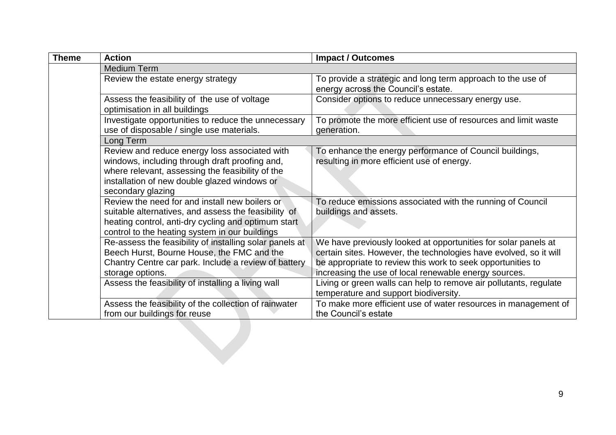| Theme | <b>Action</b>                                                                                                                                                                                                            | <b>Impact / Outcomes</b>                                                                                                                                                                                                                                    |
|-------|--------------------------------------------------------------------------------------------------------------------------------------------------------------------------------------------------------------------------|-------------------------------------------------------------------------------------------------------------------------------------------------------------------------------------------------------------------------------------------------------------|
|       | <b>Medium Term</b>                                                                                                                                                                                                       |                                                                                                                                                                                                                                                             |
|       | Review the estate energy strategy                                                                                                                                                                                        | To provide a strategic and long term approach to the use of<br>energy across the Council's estate.                                                                                                                                                          |
|       | Assess the feasibility of the use of voltage<br>optimisation in all buildings                                                                                                                                            | Consider options to reduce unnecessary energy use.                                                                                                                                                                                                          |
|       | Investigate opportunities to reduce the unnecessary<br>use of disposable / single use materials.                                                                                                                         | To promote the more efficient use of resources and limit waste<br>generation.                                                                                                                                                                               |
|       | Long Term                                                                                                                                                                                                                |                                                                                                                                                                                                                                                             |
|       | Review and reduce energy loss associated with<br>windows, including through draft proofing and,<br>where relevant, assessing the feasibility of the<br>installation of new double glazed windows or<br>secondary glazing | To enhance the energy performance of Council buildings,<br>resulting in more efficient use of energy.                                                                                                                                                       |
|       | Review the need for and install new boilers or<br>suitable alternatives, and assess the feasibility of<br>heating control, anti-dry cycling and optimum start<br>control to the heating system in our buildings          | To reduce emissions associated with the running of Council<br>buildings and assets.                                                                                                                                                                         |
|       | Re-assess the feasibility of installing solar panels at<br>Beech Hurst, Bourne House, the FMC and the<br>Chantry Centre car park. Include a review of battery<br>storage options.                                        | We have previously looked at opportunities for solar panels at<br>certain sites. However, the technologies have evolved, so it will<br>be appropriate to review this work to seek opportunities to<br>increasing the use of local renewable energy sources. |
|       | Assess the feasibility of installing a living wall                                                                                                                                                                       | Living or green walls can help to remove air pollutants, regulate<br>temperature and support biodiversity.                                                                                                                                                  |
|       | Assess the feasibility of the collection of rainwater<br>from our buildings for reuse                                                                                                                                    | To make more efficient use of water resources in management of<br>the Council's estate                                                                                                                                                                      |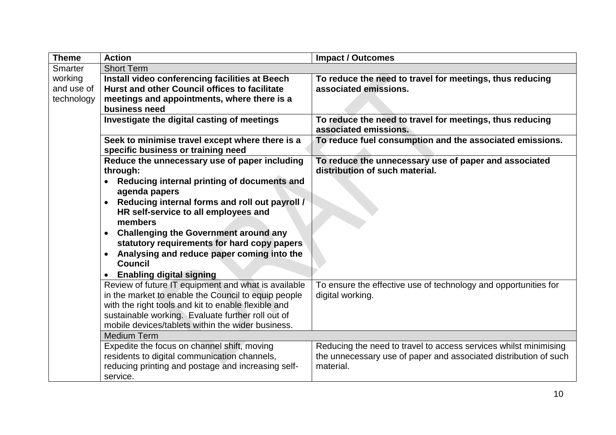| <b>Theme</b>                        | <b>Action</b>                                                                                                                                                                                                                                                                                                                                                                                                                                          | <b>Impact / Outcomes</b>                                                                                                                                                                                                                 |
|-------------------------------------|--------------------------------------------------------------------------------------------------------------------------------------------------------------------------------------------------------------------------------------------------------------------------------------------------------------------------------------------------------------------------------------------------------------------------------------------------------|------------------------------------------------------------------------------------------------------------------------------------------------------------------------------------------------------------------------------------------|
| Smarter                             | <b>Short Term</b>                                                                                                                                                                                                                                                                                                                                                                                                                                      |                                                                                                                                                                                                                                          |
| working<br>and use of<br>technology | Install video conferencing facilities at Beech<br>Hurst and other Council offices to facilitate<br>meetings and appointments, where there is a<br>business need                                                                                                                                                                                                                                                                                        | To reduce the need to travel for meetings, thus reducing<br>associated emissions.                                                                                                                                                        |
|                                     | Investigate the digital casting of meetings                                                                                                                                                                                                                                                                                                                                                                                                            | To reduce the need to travel for meetings, thus reducing<br>associated emissions.                                                                                                                                                        |
|                                     | Seek to minimise travel except where there is a<br>specific business or training need                                                                                                                                                                                                                                                                                                                                                                  | To reduce fuel consumption and the associated emissions.                                                                                                                                                                                 |
|                                     | Reduce the unnecessary use of paper including<br>through:<br>Reducing internal printing of documents and<br>$\bullet$<br>agenda papers<br>Reducing internal forms and roll out payroll /<br>HR self-service to all employees and<br>members<br><b>Challenging the Government around any</b><br>statutory requirements for hard copy papers<br>Analysing and reduce paper coming into the<br><b>Council</b><br><b>Enabling digital signing</b>          | To reduce the unnecessary use of paper and associated<br>distribution of such material.                                                                                                                                                  |
|                                     | Review of future IT equipment and what is available<br>in the market to enable the Council to equip people<br>with the right tools and kit to enable flexible and<br>sustainable working. Evaluate further roll out of<br>mobile devices/tablets within the wider business.<br><b>Medium Term</b><br>Expedite the focus on channel shift, moving<br>residents to digital communication channels,<br>reducing printing and postage and increasing self- | To ensure the effective use of technology and opportunities for<br>digital working.<br>Reducing the need to travel to access services whilst minimising<br>the unnecessary use of paper and associated distribution of such<br>material. |
|                                     | service.                                                                                                                                                                                                                                                                                                                                                                                                                                               |                                                                                                                                                                                                                                          |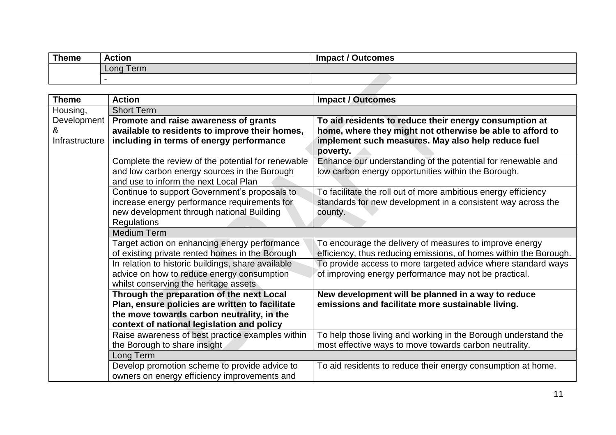| <b>Theme</b> | <b>Action</b> | Impact / Outcomes |
|--------------|---------------|-------------------|
|              | Long Term     |                   |
|              |               |                   |
|              |               |                   |

| <b>Theme</b>                       | <b>Action</b>                                                                                                                                                                            | <b>Impact / Outcomes</b>                                                                                                                                                              |
|------------------------------------|------------------------------------------------------------------------------------------------------------------------------------------------------------------------------------------|---------------------------------------------------------------------------------------------------------------------------------------------------------------------------------------|
| Housing,                           | <b>Short Term</b>                                                                                                                                                                        |                                                                                                                                                                                       |
| Development<br>&<br>Infrastructure | Promote and raise awareness of grants<br>available to residents to improve their homes,<br>including in terms of energy performance                                                      | To aid residents to reduce their energy consumption at<br>home, where they might not otherwise be able to afford to<br>implement such measures. May also help reduce fuel<br>poverty. |
|                                    | Complete the review of the potential for renewable<br>and low carbon energy sources in the Borough<br>and use to inform the next Local Plan                                              | Enhance our understanding of the potential for renewable and<br>low carbon energy opportunities within the Borough.                                                                   |
|                                    | Continue to support Government's proposals to<br>increase energy performance requirements for<br>new development through national Building<br><b>Regulations</b>                         | To facilitate the roll out of more ambitious energy efficiency<br>standards for new development in a consistent way across the<br>county.                                             |
|                                    | <b>Medium Term</b>                                                                                                                                                                       |                                                                                                                                                                                       |
|                                    | Target action on enhancing energy performance<br>of existing private rented homes in the Borough                                                                                         | To encourage the delivery of measures to improve energy<br>efficiency, thus reducing emissions, of homes within the Borough.                                                          |
|                                    | In relation to historic buildings, share available<br>advice on how to reduce energy consumption<br>whilst conserving the heritage assets                                                | To provide access to more targeted advice where standard ways<br>of improving energy performance may not be practical.                                                                |
|                                    | Through the preparation of the next Local<br>Plan, ensure policies are written to facilitate<br>the move towards carbon neutrality, in the<br>context of national legislation and policy | New development will be planned in a way to reduce<br>emissions and facilitate more sustainable living.                                                                               |
|                                    | Raise awareness of best practice examples within<br>the Borough to share insight                                                                                                         | To help those living and working in the Borough understand the<br>most effective ways to move towards carbon neutrality.                                                              |
|                                    | Long Term                                                                                                                                                                                |                                                                                                                                                                                       |
|                                    | Develop promotion scheme to provide advice to<br>owners on energy efficiency improvements and                                                                                            | To aid residents to reduce their energy consumption at home.                                                                                                                          |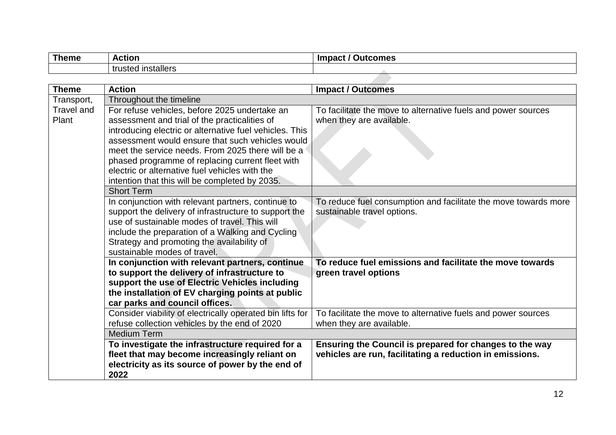| <b>Theme</b> | <b>Action</b>           | <b>Impact</b><br>utcomes |
|--------------|-------------------------|--------------------------|
|              | I installers<br>trusteo |                          |
|              |                         |                          |

| <b>Theme</b>               | <b>Action</b>                                                                                                                                                                                                                                                                                                                                                                                                              | <b>Impact / Outcomes</b>                                                                                            |
|----------------------------|----------------------------------------------------------------------------------------------------------------------------------------------------------------------------------------------------------------------------------------------------------------------------------------------------------------------------------------------------------------------------------------------------------------------------|---------------------------------------------------------------------------------------------------------------------|
| Transport,                 | Throughout the timeline                                                                                                                                                                                                                                                                                                                                                                                                    |                                                                                                                     |
| <b>Travel and</b><br>Plant | For refuse vehicles, before 2025 undertake an<br>assessment and trial of the practicalities of<br>introducing electric or alternative fuel vehicles. This<br>assessment would ensure that such vehicles would<br>meet the service needs. From 2025 there will be a<br>phased programme of replacing current fleet with<br>electric or alternative fuel vehicles with the<br>intention that this will be completed by 2035. | To facilitate the move to alternative fuels and power sources<br>when they are available.                           |
|                            | <b>Short Term</b>                                                                                                                                                                                                                                                                                                                                                                                                          |                                                                                                                     |
|                            | In conjunction with relevant partners, continue to<br>support the delivery of infrastructure to support the<br>use of sustainable modes of travel. This will<br>include the preparation of a Walking and Cycling<br>Strategy and promoting the availability of<br>sustainable modes of travel.                                                                                                                             | To reduce fuel consumption and facilitate the move towards more<br>sustainable travel options.                      |
|                            | In conjunction with relevant partners, continue<br>to support the delivery of infrastructure to<br>support the use of Electric Vehicles including<br>the installation of EV charging points at public<br>car parks and council offices.                                                                                                                                                                                    | To reduce fuel emissions and facilitate the move towards<br>green travel options                                    |
|                            | Consider viability of electrically operated bin lifts for<br>refuse collection vehicles by the end of 2020                                                                                                                                                                                                                                                                                                                 | To facilitate the move to alternative fuels and power sources<br>when they are available.                           |
|                            | <b>Medium Term</b>                                                                                                                                                                                                                                                                                                                                                                                                         |                                                                                                                     |
|                            | To investigate the infrastructure required for a<br>fleet that may become increasingly reliant on<br>electricity as its source of power by the end of<br>2022                                                                                                                                                                                                                                                              | Ensuring the Council is prepared for changes to the way<br>vehicles are run, facilitating a reduction in emissions. |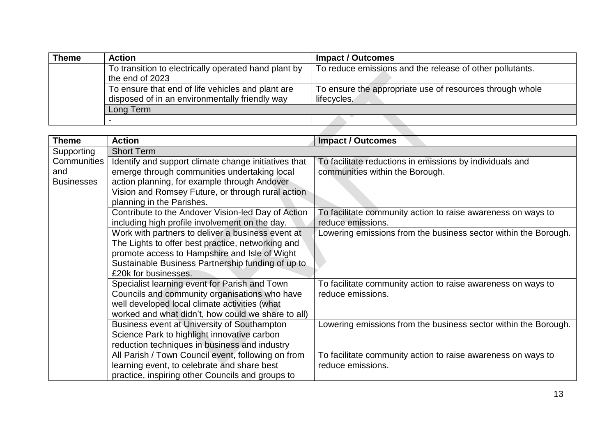| Theme | <b>Action</b>                                                                                       | <b>Impact / Outcomes</b>                                                |
|-------|-----------------------------------------------------------------------------------------------------|-------------------------------------------------------------------------|
|       | To transition to electrically operated hand plant by<br>the end of 2023                             | To reduce emissions and the release of other pollutants.                |
|       | To ensure that end of life vehicles and plant are<br>disposed of in an environmentally friendly way | To ensure the appropriate use of resources through whole<br>lifecycles. |
|       | Long Term                                                                                           |                                                                         |
|       |                                                                                                     |                                                                         |
|       |                                                                                                     |                                                                         |

| <b>Theme</b>      | <b>Action</b>                                        | <b>Impact / Outcomes</b>                                        |
|-------------------|------------------------------------------------------|-----------------------------------------------------------------|
| Supporting        | <b>Short Term</b>                                    |                                                                 |
| Communities       | Identify and support climate change initiatives that | To facilitate reductions in emissions by individuals and        |
| and               | emerge through communities undertaking local         | communities within the Borough.                                 |
| <b>Businesses</b> | action planning, for example through Andover         |                                                                 |
|                   | Vision and Romsey Future, or through rural action    |                                                                 |
|                   | planning in the Parishes.                            |                                                                 |
|                   | Contribute to the Andover Vision-led Day of Action   | To facilitate community action to raise awareness on ways to    |
|                   | including high profile involvement on the day.       | reduce emissions.                                               |
|                   | Work with partners to deliver a business event at    | Lowering emissions from the business sector within the Borough. |
|                   | The Lights to offer best practice, networking and    |                                                                 |
|                   | promote access to Hampshire and Isle of Wight        |                                                                 |
|                   | Sustainable Business Partnership funding of up to    |                                                                 |
|                   | £20k for businesses.                                 |                                                                 |
|                   | Specialist learning event for Parish and Town        | To facilitate community action to raise awareness on ways to    |
|                   | Councils and community organisations who have        | reduce emissions.                                               |
|                   | well developed local climate activities (what        |                                                                 |
|                   | worked and what didn't, how could we share to all)   |                                                                 |
|                   | Business event at University of Southampton          | Lowering emissions from the business sector within the Borough. |
|                   | Science Park to highlight innovative carbon          |                                                                 |
|                   | reduction techniques in business and industry        |                                                                 |
|                   | All Parish / Town Council event, following on from   | To facilitate community action to raise awareness on ways to    |
|                   | learning event, to celebrate and share best          | reduce emissions.                                               |
|                   | practice, inspiring other Councils and groups to     |                                                                 |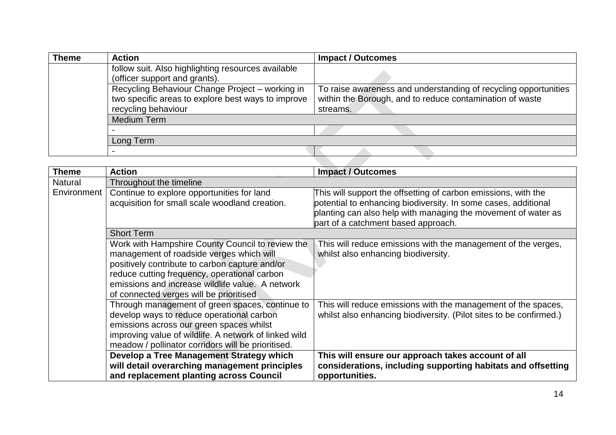| <b>Theme</b> | <b>Action</b>                                                                                                                | <b>Impact / Outcomes</b>                                                                                                                |
|--------------|------------------------------------------------------------------------------------------------------------------------------|-----------------------------------------------------------------------------------------------------------------------------------------|
|              | follow suit. Also highlighting resources available<br>(officer support and grants).                                          |                                                                                                                                         |
|              | Recycling Behaviour Change Project - working in<br>two specific areas to explore best ways to improve<br>recycling behaviour | To raise awareness and understanding of recycling opportunities<br>within the Borough, and to reduce contamination of waste<br>streams. |
|              | Medium Term                                                                                                                  |                                                                                                                                         |
|              |                                                                                                                              |                                                                                                                                         |
|              | Long Term                                                                                                                    |                                                                                                                                         |
|              |                                                                                                                              |                                                                                                                                         |
|              |                                                                                                                              |                                                                                                                                         |

| <b>Theme</b>   | <b>Action</b>                                                                                  | <b>Impact / Outcomes</b>                                                                                                                                               |  |
|----------------|------------------------------------------------------------------------------------------------|------------------------------------------------------------------------------------------------------------------------------------------------------------------------|--|
| <b>Natural</b> | Throughout the timeline                                                                        |                                                                                                                                                                        |  |
| Environment    | Continue to explore opportunities for land                                                     | This will support the offsetting of carbon emissions, with the                                                                                                         |  |
|                | acquisition for small scale woodland creation.                                                 | potential to enhancing biodiversity. In some cases, additional<br>planting can also help with managing the movement of water as<br>part of a catchment based approach. |  |
|                | <b>Short Term</b>                                                                              |                                                                                                                                                                        |  |
|                | Work with Hampshire County Council to review the<br>management of roadside verges which will   | This will reduce emissions with the management of the verges,<br>whilst also enhancing biodiversity.                                                                   |  |
|                | positively contribute to carbon capture and/or<br>reduce cutting frequency, operational carbon |                                                                                                                                                                        |  |
|                | emissions and increase wildlife value. A network                                               |                                                                                                                                                                        |  |
|                | of connected verges will be prioritised                                                        |                                                                                                                                                                        |  |
|                | Through management of green spaces, continue to                                                | This will reduce emissions with the management of the spaces,                                                                                                          |  |
|                | develop ways to reduce operational carbon                                                      | whilst also enhancing biodiversity. (Pilot sites to be confirmed.)                                                                                                     |  |
|                | emissions across our green spaces whilst                                                       |                                                                                                                                                                        |  |
|                | improving value of wildlife. A network of linked wild                                          |                                                                                                                                                                        |  |
|                | meadow / pollinator corridors will be prioritised.                                             |                                                                                                                                                                        |  |
|                | Develop a Tree Management Strategy which                                                       | This will ensure our approach takes account of all                                                                                                                     |  |
|                | will detail overarching management principles                                                  | considerations, including supporting habitats and offsetting                                                                                                           |  |
|                | and replacement planting across Council                                                        | opportunities.                                                                                                                                                         |  |